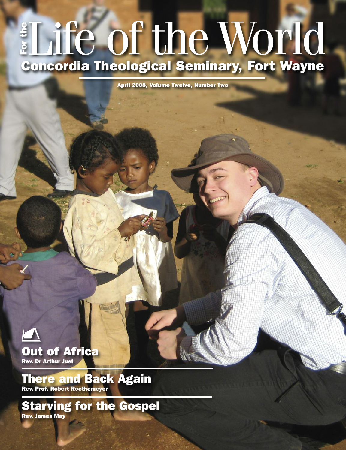#### Life of theWorld **Concordia Theological Seminary, Fort Wayne F o r t h e**

**April 2008, Volume Twelve, Number Two**



## **Out of Africa Rev. Dr Arthur Just**

### **There and Back Again Rev. Prof. Robert Roethemeyer**

**Starving for the Gospel Rev. James May**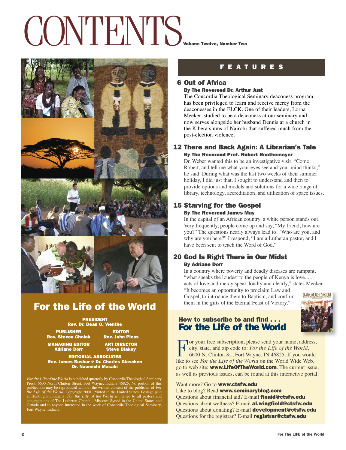# CONTENTS **Volume Twelve, Number Two**



## **For the Life of the World**

**PRESIDENT Rev. Dr. Dean O. Wenthe**

**PUBLISHER EDITOR Rev. Steven Cholak Rev. John Pless**

**MANAGING EDITOR ART DIRECTOR**

**Adriane Dorr Steve Blakey**

**EDITORIAL ASSOCIATES Rev. James Bushur** ✠ **Dr. Charles Gieschen Dr. Naomichi Masaki**

For the Life of the World is published quarterly by Concordia Theological Seminary<br>Press, 6600 North Clinton Street, Fort Wayne, Indiana 46825. No potrion of this<br>publication may be reproduced without the written consent o

**F E A T U R E S**

#### **6 Out of Africa**

#### **By The Reverend Dr. Arthur Just**

The Concordia Theological Seminary deaconess program has been privileged to learn and receive mercy from the deaconesses in the ELCK. One of their leaders, Lorna Meeker, studied to be a deaconess at our seminary and now serves alongside her husband Dennis at a church in the Kibera slums of Nairobi that suffered much from the post-election violence.

#### **12 There and Back Again: A Librarian's Tale By The Reverend Prof. Robert Roethemeyer**

Dr. Weber wanted this to be an investigative visit. "Come, Robert, and tell me what your eyes see and your mind thinks," he said. During what was the last two weeks of their summer holiday, I did just that. I sought to understand and then to provide options and models and solutions for a wide range of library, technology, accreditation, and utilization of space issues.

## **15 Starving for the Gospel**

#### **By The Reverend James May**

In the capital of an African country, a white person stands out. Very frequently, people come up and say, "My friend, how are you?" The questions nearly always lead to, "Who are you, and why are you here?" I respond, "I am a Lutheran pastor, and I have been sent to teach the Word of God."

#### **20 God Is Right There in Our Midst By Adriane Dorr**

In a country where poverty and deadly diseases are rampant, "what speaks the loudest to the people of Kenya is love... acts of love and mercy speak loudly and clearly," states Meeker.

"It becomes an opportunity to proclaim Law and Gospel, to introduce them to Baptism, and confirm them in the gifts of the Eternal Feast of Victory."



#### **How to subscribe to and find . . . For the Life of the World**

For your free subscription, please send your name, address,<br>city, state, and zip code to: For the Life of the World,<br>6600 N. Clinton St., Fort Wayne, IN 46825. If you would<br>like to see For the Life of the World, an the Wor city, state, and zip code to: *For the Life of the World*, like to see *For the Life of the World* on the World Wide Web, go to web site: **www.LifeOfTheWorld.com**. The current issue, as well as previous issues, can be found at this interactive portal.

#### Want more? Go to **www.ctsfw.edu**

Like to blog? Read **www.seminaryblog.com** Questions about financial aid? E-mail **finaid@ctsfw.edu** Questions about wellness? E-mail **al.wingfield@ctsfw.edu** Questions about donating? E-mail **development@ctsfw.edu** Questions for the registrar? E-mail **registrar@ctsfw.edu**